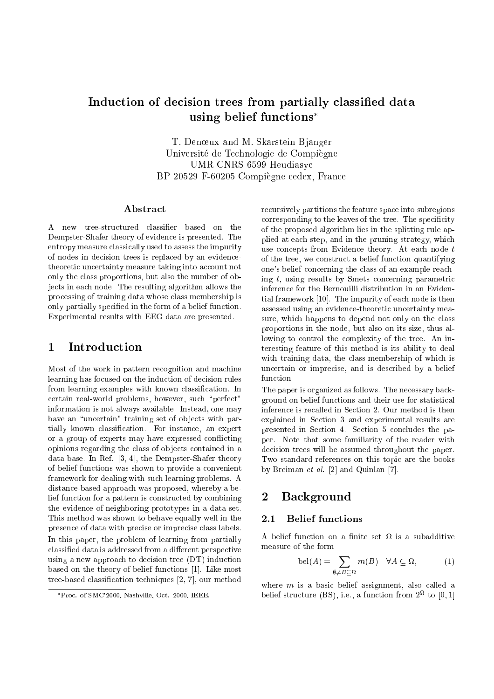# Induction of decision trees from partially classified data using belief functions\*

T. Denux and M. Skarstein Bjanger Universite de Te
hnologie de Compiegne UMR CNRS <sup>6599</sup> Heudiasy BP <sup>20529</sup> F-60205 Compiegne edex, Fran
e

### Abstract

A new tree-structured classifier based on the Dempster-Shafer theory of eviden
e is presented. The entropy measure lassi
ally used to assess the impurity of nodes in decision trees is replaced by an evidencetheoretic uncertainty measure taking into account not only the lass proportions, but also the number of objects in each node. The resulting algorithm allows the pro
essing of training data whose lass membership is only partially specified in the form of a belief function. Experimental results with EEG data are presented.

#### **Introduction** 1

Most of the work in pattern recognition and machine learning has focused on the induction of decision rules from learning examples with known classification. In certain real-world problems, however, such "perfect" information is not always available. Instead, one may have an "uncertain" training set of objects with partially known classification. For instance, an expert or a group of experts may have expressed conflicting opinions regarding the class of objects contained in a data base. In Ref.  $[3, 4]$ , the Dempster-Shafer theory of belief fun
tions was shown to provide a onvenient framework for dealing with su
h learning problems. A distan
e-based approa
h was proposed, whereby a belief function for a pattern is constructed by combining the eviden
e of neighboring prototypes in a data set. This method was shown to behave equally well in the presen
e of data with pre
ise or impre
ise lass labels. In this paper, the problem of learning from partially classified data is addressed from a different perspective using a new approach to decision tree (DT) induction based on the theory of belief functions [1]. Like most tree-based classification techniques  $[2, 7]$ , our method

re
ursively partitions the feature spa
e into subregions corresponding to the leaves of the tree. The specificity of the proposed algorithm lies in the splitting rule applied at ea
h step, and in the pruning strategy, whi
h use concepts from Evidence theory. At each node t of the tree, we onstru
t a belief fun
tion quantifying one's belief concerning the class of an example reaching  $t$ , using results by Smets concerning parametric inferen
e for the Bernouilli distribution in an Evidential framework [10]. The impurity of each node is then assessed using an eviden
e-theoreti un
ertainty measure, which happens to depend not only on the class proportions in the node, but also on its size, thus allowing to control the complexity of the tree. An interesting feature of this method is its ability to deal with training data, the class membership of which is uncertain or imprecise, and is described by a belief

The paper is organized as follows. The necessary background on belief fun
tions and their use for statisti
al inferen
e is re
alled in Se
tion 2. Our method is then explained in Se
tion 3 and experimental results are presented in Se
tion 4. Se
tion 5 on
ludes the paper. Note that some familiarity of the reader with de
ision trees will be assumed throughout the paper. Two standard referen
es on this topi are the books by Breiman et al.  $[2]$  and Quinlan  $[7]$ .

#### $\overline{2}$ **Background**

### 2.1 Belief fun
tions

A belief function on a finite set  $\Omega$  is a subadditive measure of the form

$$
\text{bel}(A) = \sum_{\emptyset \neq B \subseteq \Omega} m(B) \quad \forall A \subseteq \Omega,\tag{1}
$$

where  $m$  is a basic belief assignment, also called a belief structure (BS), i.e., a function from  $2^{\alpha}$  to  $[0, 1]$ 

<sup>\*</sup>Proc. of SMC'2000, Nashville, Oct. 2000, IEEE.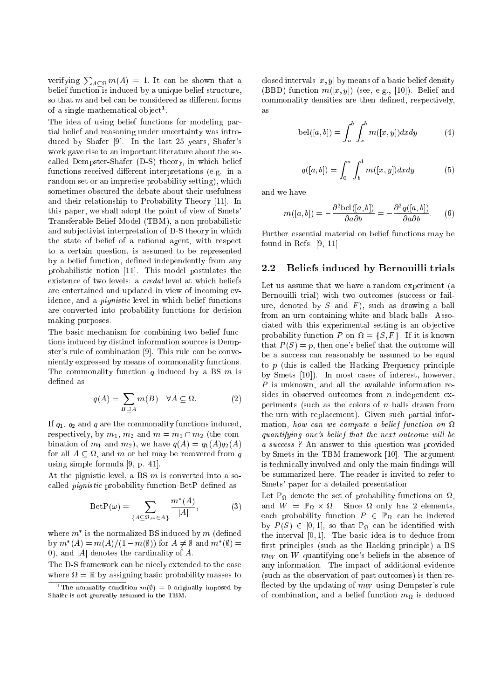verifying  $\sum_{A \subset \Omega} m(A) = 1$ . It can be shown that a  $b$ elief function is induced by a unique belief structure, so that  $m$  and bel can be considered as different forms or a single mathematical object .

The idea of using belief functions for modeling partial belief and reasoning under uncertainty was introduced by Shafer [9]. In the last 25 years, Shafer's work gave rise to an important literature about the so alled Dempster-Shafer (D-S) theory, in whi
h belief functions received different interpretations (e.g. in a random set or an imprecise probability setting), which sometimes obs
ured the debate about their usefulness and their relationship to Probability Theory  $[11]$ . In this paper, we shall adopt the point of view of Smets' Transferable Belief Model (TBM), a non probabilisti and subjectivist interpretation of D-S theory in which the state of belief of a rational agent, with respe
t to a ertain question, is assumed to be represented by a belief function, defined independently from any probabilistic notion [11]. This model postulates the existence of two levels: a *credal* level at which beliefs are entertained and updated in view of in
oming evidence, and a *piqnistic* level in which belief functions are onverted into probability fun
tions for de
ision making purposes.

The basic mechanism for combining two belief functions indu
ed by distin
t information sour
es is Dempster's rule of combination  $[9]$ . This rule can be conveniently expressed by means of ommonality fun
tions. The commonality function  $q$  induced by a BS  $m$  is defined as

$$
q(A) = \sum_{B \supseteq A} m(B) \quad \forall A \subseteq \Omega. \tag{2}
$$

If  $q_1$ ,  $q_2$  and  $q$  are the commonality functions induced, respectively, by  $m_1$ ,  $m_2$  and  $m = m_1 \cap m_2$  (the combination of  $m_1$  and  $m_2$ ), we have  $q(A) = q_1(A)q_2(A)$ for all  $A \subseteq \Omega,$  and  $m$  or bel may be recovered from  $q$ using simple formula  $[9, p, 41]$ .

At the pignistic level, a BS  $m$  is converted into a socalled *pignistic* probability function BetP defined as

$$
BetP(\omega) = \sum_{\{A \subseteq \Omega, \omega \in A\}} \frac{m^*(A)}{|A|},\tag{3}
$$

where  $m$  is the normalized BS induced by  $m$  (defined by  $m^*(A) = m(A)/(1 - m(\emptyset))$  for  $A \neq \emptyset$  and  $m^*(\emptyset) =$ 0), and  $|A|$  denotes the cardinality of A.

The D-S framework can be nicely extended to the case where the contract of the contract of the contract of the contract of the contract of the contract of the contract of the contract of the contract of the contract of the contract of the contract of the contract of the cont closed intervals  $[x, y]$  by means of a basic belief density (BBD) function  $m([x, y])$  (see, e.g., [10]). Belief and commonality densities are then defined, respectively, as

$$
bel([a, b]) = \int_{a}^{b} \int_{x}^{b} m([x, y]) dx dy \qquad (4)
$$

$$
q([a, b]) = \int_0^a \int_b^1 m([x, y]) dx dy \tag{5}
$$

and we have

$$
m([a, b]) = -\frac{\partial^2 \text{bel}([a, b])}{\partial a \partial b} = -\frac{\partial^2 q([a, b])}{\partial a \partial b}.
$$
 (6)

Further essential material on belief fun
tions may be found in Refs.  $[9, 11]$ .

### 2.2 Beliefs indu
ed by Bernouilli trials

Let us assume that we have a random experiment (a Bernouilli trial) with two outcomes (success or failure, denoted by  $S$  and  $F$ ), such as drawing a ball from an urn containing white and black balls. Associated with this experimental setting is an objective probability function P on  $\Omega = \{S, F\}$ . If it is known that  $P(S) = p$ , then one's belief that the outcome will be a success can reasonably be assumed to be equal to  $p$  (this is called the Hacking Frequency principle by Smets  $[10]$ . In most cases of interest, however,  $P$  is unknown, and all the available information resides in observed outcomes from  $n$  independent experiments (such as the colors of  $n$  balls drawn from the urn with repla
ement). Given su
h partial information, how an we ompute a belief fun
tion on quantifying one's belief that the next outcome will be a success? An answer to this question was provided by Smets in the TBM framework  $[10]$ . The argument is technically involved and only the main findings will be summarized here. The reader is invited to refer to Smets' paper for a detailed presentation.

 $\mathcal{L}$  . For the set of  $\mathcal{L}$  , the set of  $\mathcal{L}$  , the set of  $\mathcal{L}$ and  $W = \mathbb{P}_{\Omega} \times \Omega$ . Since  $\Omega$  only has 2 elements, each probability function  $P \in \mathbb{P}_{\Omega}$  can be indexed by  $P(S) \in [0,1]$ , so that  $\mathbb{P}_{\Omega}$  can be identified with the interval  $[0,1]$ . The basic idea is to deduce from first principles (such as the Hacking principle) a BS  $m_W$  on W quantifying one's beliefs in the absence of any information. The impa
t of additional eviden
e (such as the observation of past outcomes) is then reflected by the updating of  $m_W$  using Dempster's rule of combination, and a belief function  $m_\Omega$  is deduced

<sup>&</sup>lt;sup>1</sup>The normality condition  $m(\emptyset) = 0$  originally imposed by Shafer is not generally assumed in the TBM.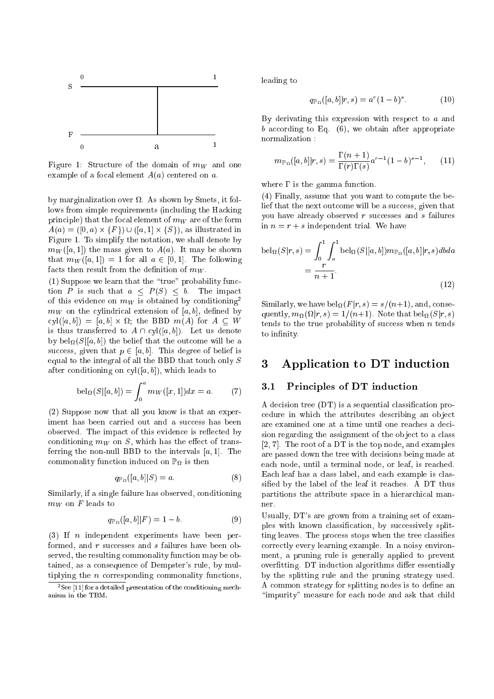

Figure 1: Structure of the domain of  $m_W$  and one example of a focal element  $A(a)$  centered on a.

. As shown by marginalization over the shown by Smets, it follows a shown by Smets, it follows a shown by Smets, it follows a shown by Smets, it follows a shown by Smets, it follows a shown by Smets, it follows a shown by lows from simple requirements (including the Hacking principle) that the focal element of  $m_W$  are of the form  $A(a) = (0, a) \times \{F\}) \cup ( [a, 1] \times \{S\}),$  as illustrated in Figure 1. To simplify the notation, we shall denote by  $m_W([a, 1])$  the mass given to  $A(a)$ . It may be shown that  $m_W([a, 1]) = 1$  for all  $a \in [0, 1]$ . The following facts then result from the definition of  $m_W$ .

 $(1)$  Suppose we learn that the "true" probability function P is such that  $a \leq P(S) \leq b$ . The impact of this evidence on  $m_W$  is obtained by conditioning<sup>2</sup>  $m_W$  on the cylindrical extension of [a, b], defined by  $cyl([a, b]) = [a, b] \times \Omega$ ; the BBD  $m(A)$  for  $A \subseteq W$ is thus transferred to  $A \cap cyl([a, b])$ . Let us denote by bel $_{\Omega}(S|[a,b])$  the belief that the outcome will be a success, given that  $p \in [a, b]$ . This degree of belief is equal to the integral of all the BBD that touch only  $S$ after conditioning on  $cyl([a, b])$ , which leads to

$$
bel_{\Omega}(S|[a, b]) = \int_0^a m_W([x, 1]) dx = a.
$$
 (7)

(2) Suppose now that all you know is that an experiment has been carried out and a success has been observed. The impact of this evidence is reflected by conditioning  $m_W$  on S, which has the effect of transferring the non-null BBD to the intervals  $[a, 1]$ . The tion in the community function in the case of the community of the community of the community of the community

$$
q_{\mathbb{P}_{\Omega}}([a,b]|S) = a. \tag{8}
$$

Similarly, if a single failure has observed, conditioning  $m_W$  on F leads to

$$
q_{\mathbb{P}_{\Omega}}([a,b]|F) = 1 - b. \tag{9}
$$

 $(3)$  If *n* independent experiments have been performed, and  $r$  successes and  $s$  failures have been observed, the resulting commonality function may be obtained, as a onsequen
e of Dempster's rule, by multiplying the  $n$  corresponding commonality functions, leading to

$$
q_{\mathbb{P}_{\Omega}}([a,b]|r,s) = a^r(1-b)^s.
$$
 (10)

By derivating this expression with respect to  $a$  and  $b$  according to Eq. (6), we obtain after appropriate normalization :

$$
m_{\mathbb{P}_{\Omega}}([a,b]|r,s) = \frac{\Gamma(n+1)}{\Gamma(r)\Gamma(s)}a^{r-1}(1-b)^{s-1},\qquad(11)
$$

where  $\Gamma$  is the gamma function.

(4) Finally, assume that you want to ompute the belief that the next outcome will be a success, given that you have already observed  $r$  successes and  $s$  failures in  $n = r + s$  independent trial. We have

$$
bel_{\Omega}(S|r, s) = \int_0^1 \int_a^1 bel_{\Omega}(S|[a, b])m_{\mathbb{P}_{\Omega}}([a, b]|r, s)dbda
$$

$$
= \frac{r}{n+1}.
$$
 (12)

Similarly, we have  $\mathrm{bel}_{\Omega}(F | r, s) = s/(n+1),$  and, consequently,  $m_{\Omega}(\Omega | r, s) = 1/(n+1)$ . Note that  $\mathrm{bel}_{\Omega}(S | r, s)$ tends to the true probability of success when  $n$  tends  $\,$  to infinity.

#### 3 Application to DT induction

### 3.1 Principles of DT induction

A decision tree (DT) is a sequential classification procedure in which the attributes describing an object are examined one at a time until one rea
hes a de
ision regarding the assignment of the object to a class [2, 7]. The root of a DT is the top node, and examples are passed down the tree with de
isions being made at ea
h node, until a terminal node, or leaf, is rea
hed. Each leaf has a class label, and each example is classified by the label of the leaf it reaches. A DT thus partitions the attribute space in a hierarchical man-

Usually, DT's are grown from a training set of examples with known classification, by successively splitting leaves. The process stops when the tree classifies orre
tly every learning example. In a noisy environment, a pruning rule is generally applied to prevent overfitting. DT induction algorithms differ essentially by the splitting rule and the pruning strategy used. A common strategy for splitting nodes is to define an "impurity" measure for each node and ask that child

 $\sim$  see  $\mid$ 11 $\mid$  for a detailed presentation of the conditioning mechanism in the TBM.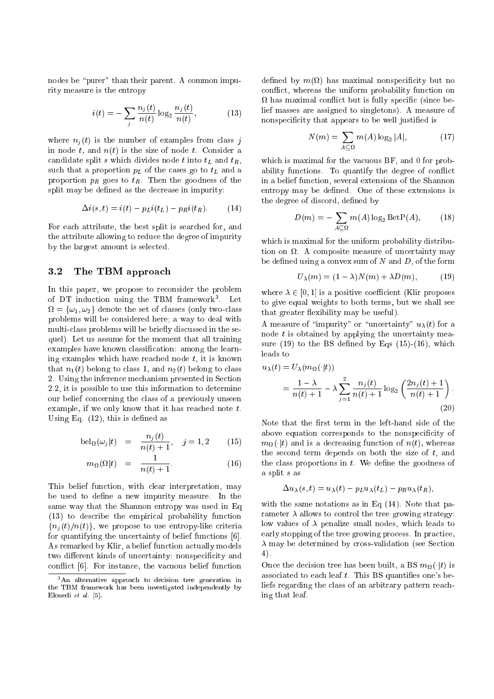nodes be "purer" than their parent. A common impurity measure is the entropy

$$
i(t) = -\sum_{j} \frac{n_j(t)}{n(t)} \log_2 \frac{n_j(t)}{n(t)},
$$
 (13)

where  $n_j(t)$  is the number of examples from class j in node  $t$ , and  $n(t)$  is the size of node  $t$ . Consider a candidate split s which divides node t into  $t_L$  and  $t_R$ , such that a proportion  $p<sub>L</sub>$  of the cases go to  $t<sub>L</sub>$  and a proportion  $p_R$  goes to  $t_R$ . Then the goodness of the split may be defined as the decrease in impurity:

$$
\Delta i(s,t) = i(t) - p_L i(t_L) - p_R i(t_R). \tag{14}
$$

For ea
h attribute, the best split is sear
hed for, and the attribute allowing to redu
e the degree of impurity by the largest amount is selected.

#### 3.2 The TBM approa
h

In this paper, we propose to reconsider the problem of DI induction using the IDM framework. Let  $\Omega = {\omega_1, \omega_2}$  denote the set of classes (only two-class problems will be onsidered here; a way to deal with multi-class problems will be briefly discussed in the sequel). Let us assume for the moment that all training examples have known classification: among the learning examples which have reached node  $t$ , it is known that  $n_1(t)$  belong to class 1, and  $n_2(t)$  belong to class 2. Using the inferen
e me
hanism presented in Se
tion 2.2, it is possible to use this information to determine our belief on
erning the lass of a previously unseen example, if we only know that it has reached note t. Using Eq.  $(12)$ , this is defined as

$$
bel_{\Omega}(\omega_j|t) = \frac{n_j(t)}{n(t) + 1}, \quad j = 1, 2 \quad (15)
$$

$$
m_{\Omega}(\Omega|t) = \frac{1}{n(t)+1}.\tag{16}
$$

This belief function, with clear interpretation, may be used to define a new impurity measure. In the same way that the Shannon entropy was used in Eq (13) to des
ribe the empiri
al probability fun
tion  ${n_i(t)/n(t)}$ , we propose to use entropy-like criteria for quantifying the uncertainty of belief functions [6]. As remarked by Klir, a belief function actually models two different kinds of uncertainty: nonspecificity and conflict [6]. For instance, the vacuous belief function

denned by  $m(\Omega)$  has maximal nonspecincity but no on
i
t, whereas the uniform probability fun
tion on the maximal constants in the specific process (constant in a lief masses are assigned to singletons). A measure of nonspecificity that appears to be well justified is

$$
N(m) = \sum_{A \subseteq \Omega} m(A) \log_2 |A|, \tag{17}
$$

which is maximal for the vacuous BF, and 0 for probability functions. To quantify the degree of conflict in a belief fun
tion, several extensions of the Shannon entropy may be defined. One of these extensions is the degree of discord, defined by

$$
D(m) = -\sum_{A \subseteq \Omega} m(A) \log_2 \text{ BetP}(A), \qquad (18)
$$

which is maximal for the uniform probability distribution on the component of understanding the component of understanding the component of understanding the compo be defined using a convex sum of N and  $D$ , of the form

$$
U_{\lambda}(m) = (1 - \lambda)N(m) + \lambda D(m), \qquad (19)
$$

where  $\lambda \in [0, 1]$  is a positive coefficient (Klir proposes to give equal weights to both terms, but we shall see that greater flexibility may be useful).

A measure of "impurity" or "uncertainty"  $u_{\lambda}(t)$  for a node  $t$  is obtained by applying the uncertainty measure  $(19)$  to the BS defined by Eqs  $(15)-(16)$ , which leads to

$$
u_{\lambda}(t) = U_{\lambda}(m_{\Omega}(\cdot|t))
$$
  
=  $\frac{1-\lambda}{n(t)+1} - \lambda \sum_{j=1}^{2} \frac{n_j(t)}{n(t)+1} \log_2 \left(\frac{2n_j(t)+1}{n(t)+1}\right).$  (20)

Note that the first term in the left-hand side of the above equation corresponds to the nonspecificity of  $m_{\Omega}(\cdot|t)$  and is a decreasing function of  $n(t)$ , whereas the second term depends on both the size of  $t$ , and the class proportions in  $t$ . We define the goodness of a split s as

$$
\Delta u_{\lambda}(s,t) = u_{\lambda}(t) - p_L u_{\lambda}(t_L) - p_R u_{\lambda}(t_R),
$$

with the same notations as in Eq  $(14)$ . Note that parameter  $\lambda$  allows to control the tree growing strategy: low values of  $\lambda$  penalize small nodes, which leads to early stopping of the tree growing process. In practice,  $\lambda$  may be determined by cross-validation (see Section 4).

Once the decision tree has been built, a BS  $m_{\Omega}(\cdot|t)$  is associated to each leaf  $t$ . This BS quantifies one's beliefs regarding the class of an arbitrary pattern reaching that leaf.

<sup>&</sup>lt;sup>3</sup>An alternative approach to decision tree generation in the TBM framework has been investigated independently by Elouedi  $et$  al. [5].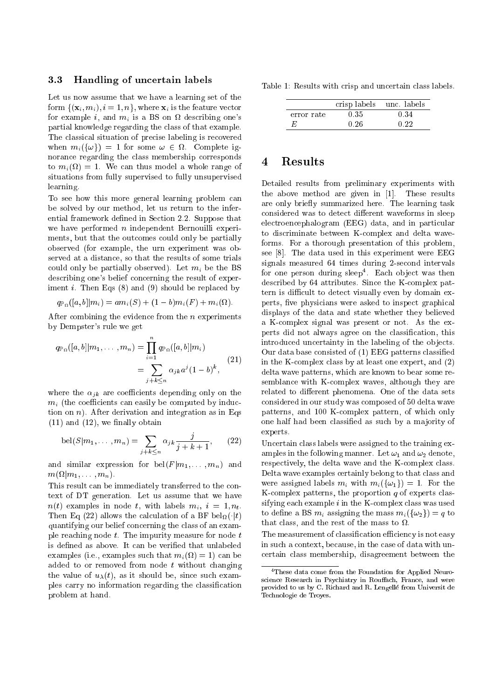#### 3.3 Handling of uncertain labels

Let us now assume that we have a learning set of the form  $\{(\mathbf{x}_i, m_i), i = 1, n\}$ , where  $\mathbf{x}_i$  is the feature vector for example i, and  $m_i$  is a BS on  $\Omega$  describing one's partial knowledge regarding the lass of that example. The lassi
al situation of pre
ise labeling is re
overed when  $m_i(\{\omega\}) = 1$  for some  $\omega \in \Omega$ . Complete ignoran
e regarding the lass membership orresponds to  $m_i(\Omega) = 1$ . We can thus model a whole range of situations from fully supervised to fully unsupervised learning.

To see how this more general learning problem can be solved by our method, let us return to the inferential framework defined in Section 2.2. Suppose that we have performed  $n$  independent Bernouilli experiments, but that the outcomes could only be partially observed (for example, the urn experiment was observed at a distan
e, so that the results of some trials could only be partially observed). Let  $m_i$  be the BS describing one's belief concerning the result of experiment *i*. Then Eqs (8) and (9) should be replaced by

$$
q_{\mathbb{P}_{\Omega}}([a, b] | m_i) = am_i(S) + (1 - b)m_i(F) + m_i(\Omega).
$$

After combining the evidence from the *n* experiments by Dempster's rule we get

$$
q_{\mathbb{P}_{\Omega}}([a,b]|m_1,\ldots,m_n) = \prod_{i=1}^n q_{\mathbb{P}_{\Omega}}([a,b]|m_i)
$$
  
= 
$$
\sum_{j+k \le n} \alpha_{jk} a^j (1-b)^k,
$$
 (21)

where the  $\alpha_{jk}$  are coefficients depending only on the  $m_i$  (the coefficients can easily be computed by induction on  $n$ ). After derivation and integration as in Eqs  $(11)$  and  $(12)$ , we finally obtain

$$
bel(S|m_1, ..., m_n) = \sum_{j+k \le n} \alpha_{jk} \frac{j}{j+k+1}, \qquad (22)
$$

and similar expression for  $bel(F | m_1, \ldots, m_n)$  and  $m_{\{M\}}m_1,\ldots,m_n$ ).

This result can be immediately transferred to the context of DT generation. Let us assume that we have  $n(t)$  examples in node t, with labels  $m_i$ ,  $i = 1, n_t$ . Then Eq (22) allows the calculation of a BF bel<sub>0</sub>( $\cdot$ |*t*) quantifying our belief on
erning the lass of an example rea
hing node t. The impurity measure for node t is defined as above. It can be verified that unlabeled examples (i.e., examples such that  $m_i(\Omega) = 1$ ) can be added to or removed from node t without changing the value of  $u_{\lambda}(t)$ , as it should be, since such examples carry no information regarding the classification problem at hand.

Table 1: Results with crisp and uncertain class labels.

|            | crisp labels unc. labels |      |
|------------|--------------------------|------|
| error rate | 0.35                     | 0.34 |
| F.         | Ո 26                     | Ո 22 |

## 4 Results

Detailed results from preliminary experiments with the above method are given in  $[1]$ . These results are only briefly summarized here. The learning task considered was to detect different waveforms in sleep electroencephalogram (EEG) data, and in particular to dis
riminate between Komplex and delta waveforms. For a thorough presentation of this problem, see  $[8]$ . The data used in this experiment were EEG signals measured 64 times during 2-second intervals for one person during sleep . Each object was then des
ribed by 64 attributes. Sin
e the Komplex pattern is difficult to detect visually even by domain experts, five physicians were asked to inspect graphical displays of the data and state whether they believed a Komplex signal was present or not. As the experts did not always agree on the classification, this introduced uncertainty in the labeling of the objects. Our data base onsisted of (1) EEG patterns lassied in the Komplex lass by at least one expert, and (2) delta wave patterns, whi
h are known to bear some resemblance with K-complex waves, although they are related to different phenomena. One of the data sets onsidered in our study was omposed of 50 delta wave patterns, and 100 K-complex pattern, of which only one half had been lassied as su
h by a ma jority of experts.

Uncertain class labels were assigned to the training examples in the following manner. Let  $\omega_1$  and  $\omega_2$  denote, respe
tively, the delta wave and the Komplex lass. Delta wave examples ertainly belong to that lass and were assigned labels  $m_i$  with  $m_i({\omega_1}) = 1$ . For the K-complex patterns, the proportion  $q$  of experts classifying each example  $i$  in the K-complex class was used to define a BS  $m_i$  assigning the mass  $m_i({\omega_2}) = q$  to that is that the rest of the mass to the mass to the mass to the mass to the mass to the mass to the mass to t

The measurement of classification efficiency is not easy in su
h a ontext, be
ause, in the ase of data with un ertain lass membership, disagreement between the

<sup>4</sup>These data ome from the Foundation for Applied Neuroscience Research in Psychiatry in Rouffach, France, and were provided to us by C. Ri
hard and R. Lengelle from Universit de Te
hnologie de Troyes.